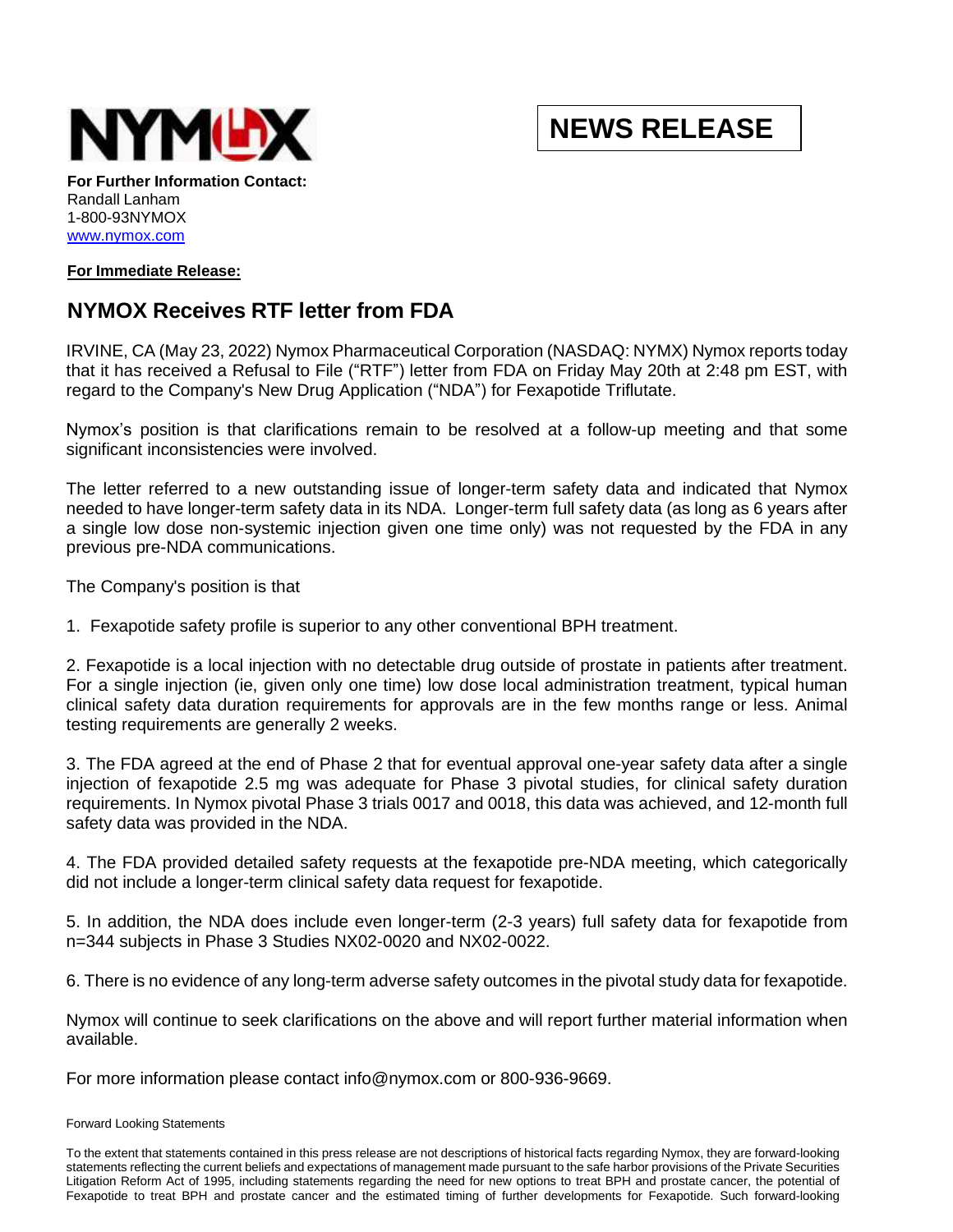

## **NEWS RELEASE**

**For Further Information Contact:** Randall Lanham 1-800-93NYMOX [www.nymox.com](http://www.nymox.com/)

## **For Immediate Release:**

## **NYMOX Receives RTF letter from FDA**

IRVINE, CA (May 23, 2022) Nymox Pharmaceutical Corporation (NASDAQ: NYMX) Nymox reports today that it has received a Refusal to File ("RTF") letter from FDA on Friday May 20th at 2:48 pm EST, with regard to the Company's New Drug Application ("NDA") for Fexapotide Triflutate.

Nymox's position is that clarifications remain to be resolved at a follow-up meeting and that some significant inconsistencies were involved.

The letter referred to a new outstanding issue of longer-term safety data and indicated that Nymox needed to have longer-term safety data in its NDA. Longer-term full safety data (as long as 6 years after a single low dose non-systemic injection given one time only) was not requested by the FDA in any previous pre-NDA communications.

The Company's position is that

1. Fexapotide safety profile is superior to any other conventional BPH treatment.

2. Fexapotide is a local injection with no detectable drug outside of prostate in patients after treatment. For a single injection (ie, given only one time) low dose local administration treatment, typical human clinical safety data duration requirements for approvals are in the few months range or less. Animal testing requirements are generally 2 weeks.

3. The FDA agreed at the end of Phase 2 that for eventual approval one-year safety data after a single injection of fexapotide 2.5 mg was adequate for Phase 3 pivotal studies, for clinical safety duration requirements. In Nymox pivotal Phase 3 trials 0017 and 0018, this data was achieved, and 12-month full safety data was provided in the NDA.

4. The FDA provided detailed safety requests at the fexapotide pre-NDA meeting, which categorically did not include a longer-term clinical safety data request for fexapotide.

5. In addition, the NDA does include even longer-term (2-3 years) full safety data for fexapotide from n=344 subjects in Phase 3 Studies NX02-0020 and NX02-0022.

6. There is no evidence of any long-term adverse safety outcomes in the pivotal study data for fexapotide.

Nymox will continue to seek clarifications on the above and will report further material information when available.

For more information please contact info@nymox.com or 800-936-9669.

## Forward Looking Statements

To the extent that statements contained in this press release are not descriptions of historical facts regarding Nymox, they are forward-looking statements reflecting the current beliefs and expectations of management made pursuant to the safe harbor provisions of the Private Securities Litigation Reform Act of 1995, including statements regarding the need for new options to treat BPH and prostate cancer, the potential of Fexapotide to treat BPH and prostate cancer and the estimated timing of further developments for Fexapotide. Such forward-looking